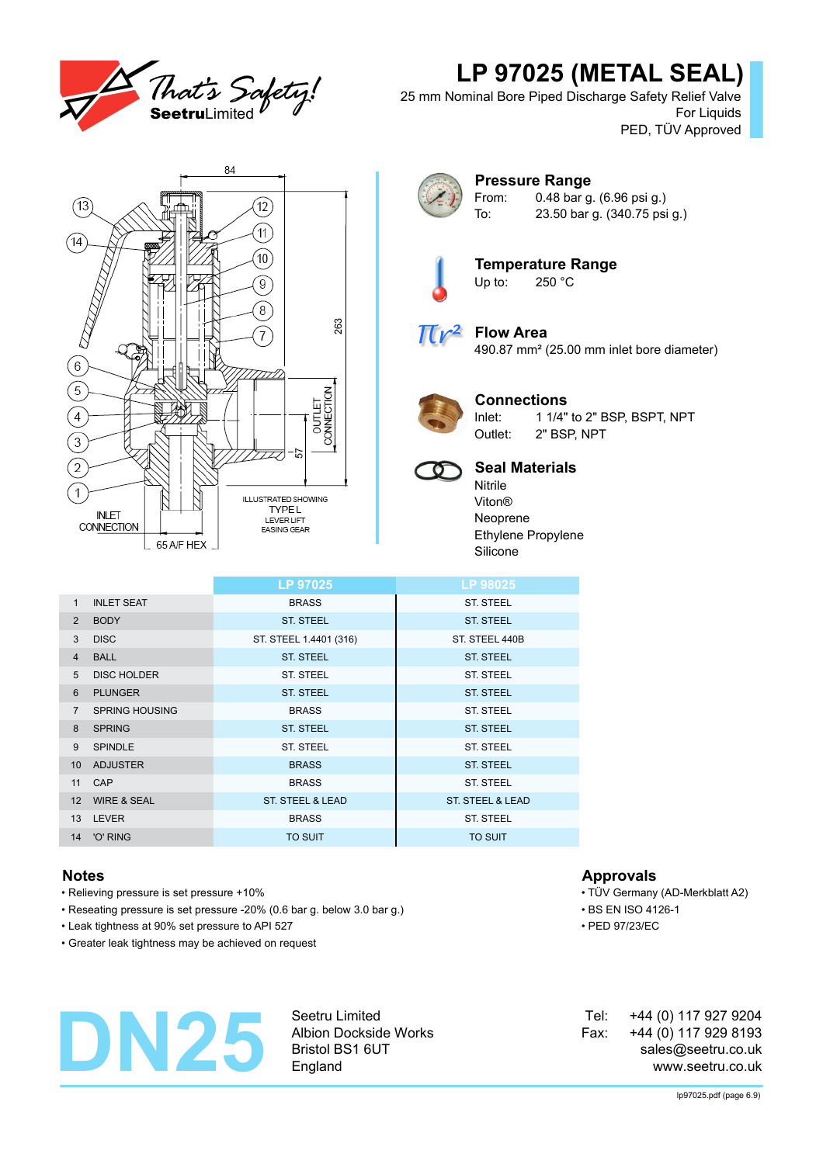

# **LP 97025 (METAL SEAL)**

25 mm Nominal Bore Piped Discharge Safety Relief Valve For Liquids PED, TÜV Approved



### **Pressure Range** From: 0.48 bar g. (6.96 psi g.) To: 23.50 bar g. (340.75 psi g.)



**Temperature Range**<br>Up to: 250 °C  $250 °C$ 



# **Flow Area**

490.87 mm² (25.00 mm inlet bore diameter)



## **Connections**

Inlet: 1 1/4" to 2" BSP, BSPT, NPT Outlet: 2" BSP, NPT



## **Seal Materials**

Nitrile Viton® Neoprene Ethylene Propylene Silicone

|                 |                        | LP 97025                    | LP 98025                    |
|-----------------|------------------------|-----------------------------|-----------------------------|
| 1               | <b>INLET SEAT</b>      | <b>BRASS</b>                | <b>ST. STEEL</b>            |
| $\overline{2}$  | <b>BODY</b>            | <b>ST. STEEL</b>            | <b>ST. STEEL</b>            |
| 3               | <b>DISC</b>            | ST. STEEL 1.4401 (316)      | ST. STEEL 440B              |
| $\overline{4}$  | <b>BALL</b>            | <b>ST. STEEL</b>            | <b>ST. STEEL</b>            |
| 5               | <b>DISC HOLDER</b>     | ST. STEEL                   | <b>ST. STEEL</b>            |
| 6               | <b>PLUNGER</b>         | <b>ST. STEEL</b>            | <b>ST. STEEL</b>            |
| $\overline{7}$  | <b>SPRING HOUSING</b>  | <b>BRASS</b>                | <b>ST. STEEL</b>            |
| 8               | <b>SPRING</b>          | <b>ST. STEEL</b>            | <b>ST. STEEL</b>            |
| 9               | <b>SPINDLE</b>         | <b>ST. STEEL</b>            | <b>ST. STEEL</b>            |
| 10 <sup>°</sup> | <b>ADJUSTER</b>        | <b>BRASS</b>                | <b>ST. STEEL</b>            |
| 11              | CAP                    | <b>BRASS</b>                | <b>ST. STEEL</b>            |
| 12 <sup>2</sup> | <b>WIRE &amp; SEAL</b> | <b>ST. STEEL &amp; LEAD</b> | <b>ST. STEEL &amp; LEAD</b> |
| 13 <sup>2</sup> | <b>LEVER</b>           | <b>BRASS</b>                | ST. STEEL                   |
|                 | 14 'O' RING            | <b>TO SUIT</b>              | <b>TO SUIT</b>              |

- Relieving pressure is set pressure +10% TÜV Germany (AD-Merkblatt A2)
- Reseating pressure is set pressure -20% (0.6 bar g. below 3.0 bar g.) BS EN ISO 4126-1
- Leak tightness at 90% set pressure to API 527 PED 97/23/EC
- Greater leak tightness may be achieved on request

# **DN25**

Seetru Limited Albion Dockside Works Bristol BS1 6UT England

## **Notes Approvals**

- 
- 
- 

+44 (0) 117 927 9204 +44 (0) 117 929 8193 sales@seetru.co.uk www.seetru.co.uk Tel: Fax: